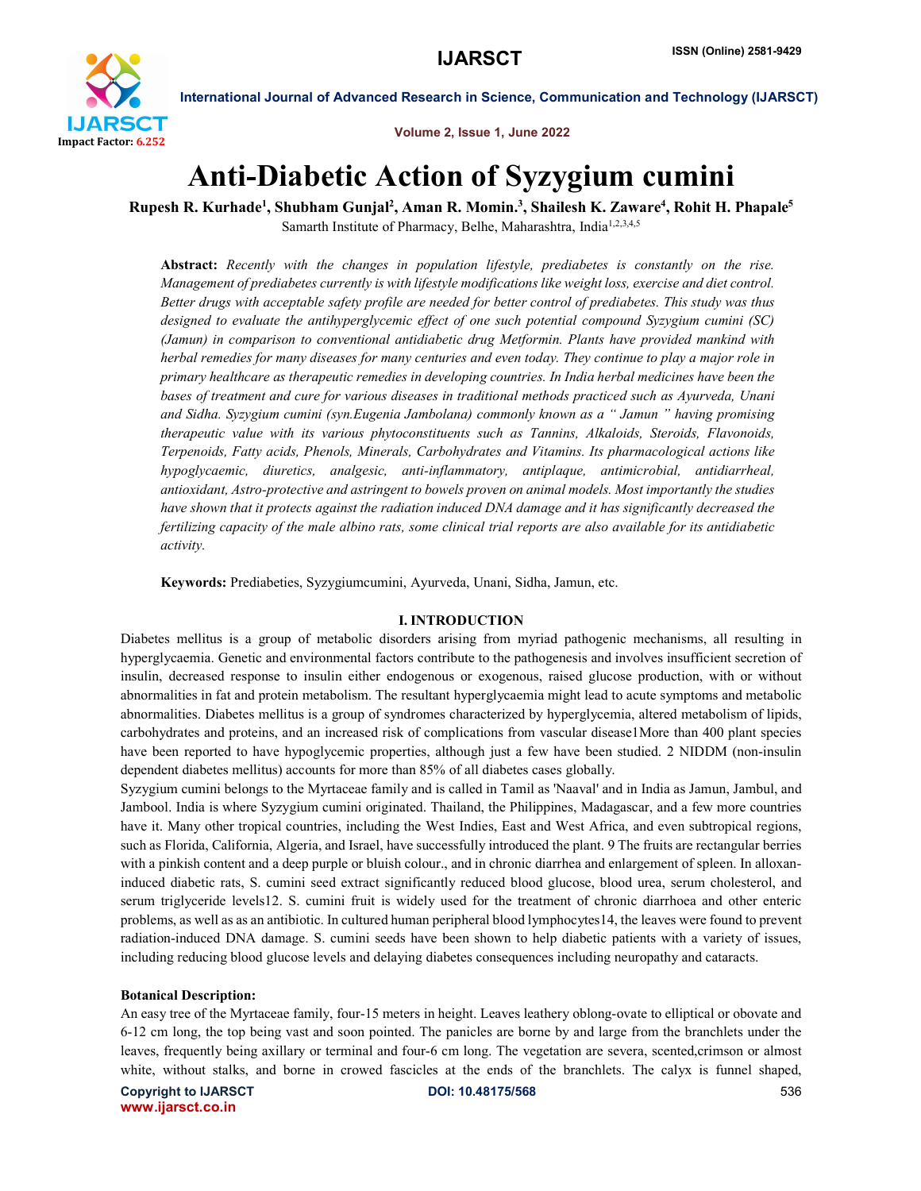

Volume 2, Issue 1, June 2022

# Anti-Diabetic Action of Syzygium cumini

Rupesh R. Kurhade<sup>1</sup>, Shubham Gunjal<sup>2</sup>, Aman R. Momin.<sup>3</sup>, Shailesh K. Zaware<sup>4</sup>, Rohit H. Phapale<sup>5</sup> Samarth Institute of Pharmacy, Belhe, Maharashtra, India<sup>1,2,3,4,5</sup>

Abstract: *Recently with the changes in population lifestyle, prediabetes is constantly on the rise. Management of prediabetes currently is with lifestyle modifications like weight loss, exercise and diet control. Better drugs with acceptable safety profile are needed for better control of prediabetes. This study was thus designed to evaluate the antihyperglycemic effect of one such potential compound Syzygium cumini (SC) (Jamun) in comparison to conventional antidiabetic drug Metformin. Plants have provided mankind with herbal remedies for many diseases for many centuries and even today. They continue to play a major role in primary healthcare as therapeutic remedies in developing countries. In India herbal medicines have been the bases of treatment and cure for various diseases in traditional methods practiced such as Ayurveda, Unani and Sidha. Syzygium cumini (syn.Eugenia Jambolana) commonly known as a " Jamun " having promising therapeutic value with its various phytoconstituents such as Tannins, Alkaloids, Steroids, Flavonoids, Terpenoids, Fatty acids, Phenols, Minerals, Carbohydrates and Vitamins. Its pharmacological actions like hypoglycaemic, diuretics, analgesic, anti-inflammatory, antiplaque, antimicrobial, antidiarrheal, antioxidant, Astro-protective and astringent to bowels proven on animal models. Most importantly the studies have shown that it protects against the radiation induced DNA damage and it has significantly decreased the fertilizing capacity of the male albino rats, some clinical trial reports are also available for its antidiabetic activity.*

Keywords: Prediabeties, Syzygiumcumini, Ayurveda, Unani, Sidha, Jamun, etc.

# I. INTRODUCTION

Diabetes mellitus is a group of metabolic disorders arising from myriad pathogenic mechanisms, all resulting in hyperglycaemia. Genetic and environmental factors contribute to the pathogenesis and involves insufficient secretion of insulin, decreased response to insulin either endogenous or exogenous, raised glucose production, with or without abnormalities in fat and protein metabolism. The resultant hyperglycaemia might lead to acute symptoms and metabolic abnormalities. Diabetes mellitus is a group of syndromes characterized by hyperglycemia, altered metabolism of lipids, carbohydrates and proteins, and an increased risk of complications from vascular disease1More than 400 plant species have been reported to have hypoglycemic properties, although just a few have been studied. 2 NIDDM (non-insulin dependent diabetes mellitus) accounts for more than 85% of all diabetes cases globally.

Syzygium cumini belongs to the Myrtaceae family and is called in Tamil as 'Naaval' and in India as Jamun, Jambul, and Jambool. India is where Syzygium cumini originated. Thailand, the Philippines, Madagascar, and a few more countries have it. Many other tropical countries, including the West Indies, East and West Africa, and even subtropical regions, such as Florida, California, Algeria, and Israel, have successfully introduced the plant. 9 The fruits are rectangular berries with a pinkish content and a deep purple or bluish colour., and in chronic diarrhea and enlargement of spleen. In alloxaninduced diabetic rats, S. cumini seed extract significantly reduced blood glucose, blood urea, serum cholesterol, and serum triglyceride levels12. S. cumini fruit is widely used for the treatment of chronic diarrhoea and other enteric problems, as well as as an antibiotic. In cultured human peripheral blood lymphocytes14, the leaves were found to prevent radiation-induced DNA damage. S. cumini seeds have been shown to help diabetic patients with a variety of issues, including reducing blood glucose levels and delaying diabetes consequences including neuropathy and cataracts.

# Botanical Description:

An easy tree of the Myrtaceae family, four-15 meters in height. Leaves leathery oblong-ovate to elliptical or obovate and 6-12 cm long, the top being vast and soon pointed. The panicles are borne by and large from the branchlets under the leaves, frequently being axillary or terminal and four-6 cm long. The vegetation are severa, scented,crimson or almost white, without stalks, and borne in crowed fascicles at the ends of the branchlets. The calyx is funnel shaped,

Copyright to IJARSCT **DOI: 10.48175/568** 536 www.ijarsct.co.in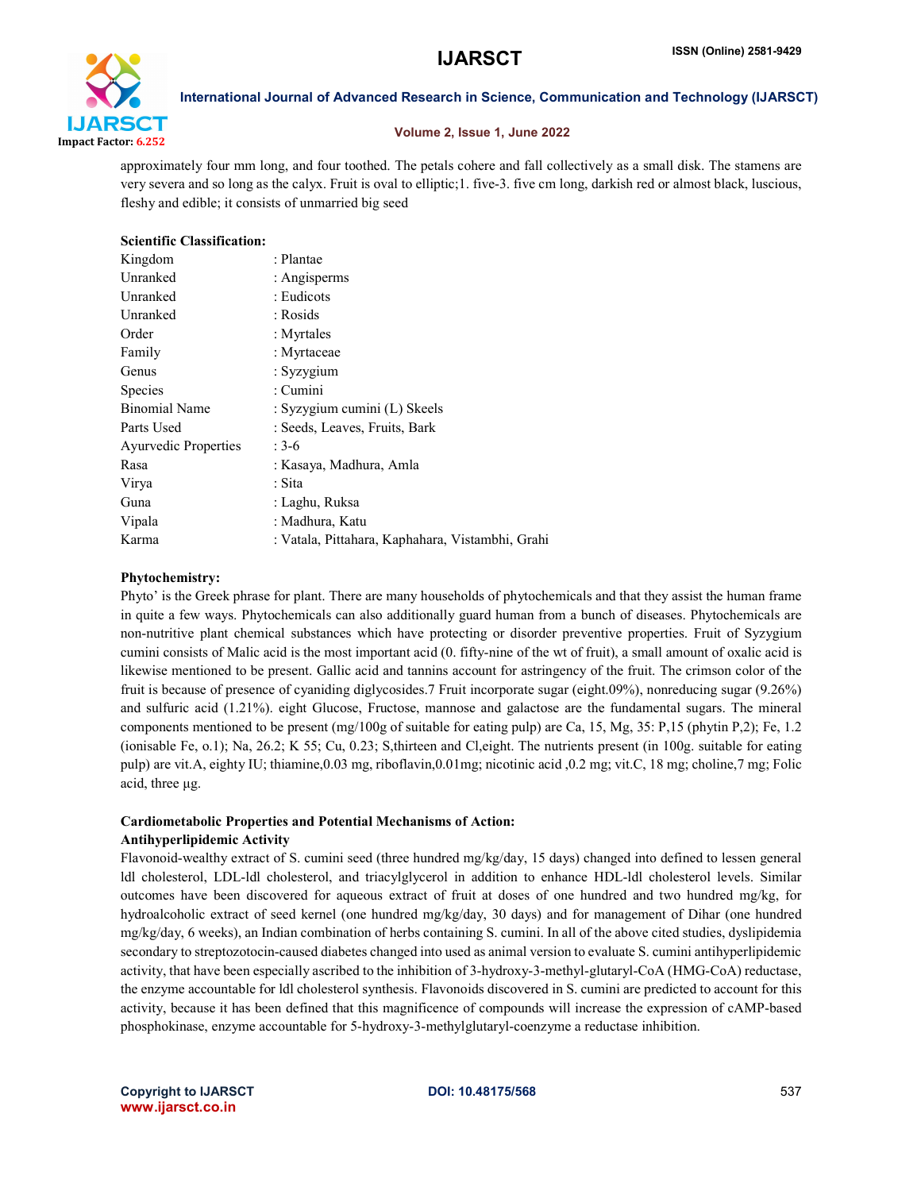

# Volume 2, Issue 1, June 2022

approximately four mm long, and four toothed. The petals cohere and fall collectively as a small disk. The stamens are very severa and so long as the calyx. Fruit is oval to elliptic;1. five-3. five cm long, darkish red or almost black, luscious, fleshy and edible; it consists of unmarried big seed

| <b>Scientific Classification:</b> |                                                  |
|-----------------------------------|--------------------------------------------------|
| Kingdom                           | : Plantae                                        |
| Unranked                          | : Angisperms                                     |
| Unranked                          | : Eudicots                                       |
| Unranked                          | : Rosids                                         |
| Order                             | : Myrtales                                       |
| Family                            | : Myrtaceae                                      |
| Genus                             | : $Syzygium$                                     |
| Species                           | : Cumini                                         |
| <b>Binomial Name</b>              | : Syzygium cumini (L) Skeels                     |
| Parts Used                        | : Seeds, Leaves, Fruits, Bark                    |
| <b>Ayurvedic Properties</b>       | $: 3-6$                                          |
| Rasa                              | : Kasaya, Madhura, Amla                          |
| Virya                             | : Sita                                           |
| Guna                              | : Laghu, Ruksa                                   |
| Vipala                            | : Madhura, Katu                                  |
| Karma                             | : Vatala, Pittahara, Kaphahara, Vistambhi, Grahi |
|                                   |                                                  |

# Phytochemistry:

Phyto' is the Greek phrase for plant. There are many households of phytochemicals and that they assist the human frame in quite a few ways. Phytochemicals can also additionally guard human from a bunch of diseases. Phytochemicals are non-nutritive plant chemical substances which have protecting or disorder preventive properties. Fruit of Syzygium cumini consists of Malic acid is the most important acid (0. fifty-nine of the wt of fruit), a small amount of oxalic acid is likewise mentioned to be present. Gallic acid and tannins account for astringency of the fruit. The crimson color of the fruit is because of presence of cyaniding diglycosides.7 Fruit incorporate sugar (eight.09%), nonreducing sugar (9.26%) and sulfuric acid (1.21%). eight Glucose, Fructose, mannose and galactose are the fundamental sugars. The mineral components mentioned to be present (mg/100g of suitable for eating pulp) are Ca, 15, Mg, 35: P,15 (phytin P,2); Fe, 1.2 (ionisable Fe, o.1); Na, 26.2; K 55; Cu, 0.23; S,thirteen and Cl,eight. The nutrients present (in 100g. suitable for eating pulp) are vit.A, eighty IU; thiamine,0.03 mg, riboflavin,0.01mg; nicotinic acid ,0.2 mg; vit.C, 18 mg; choline,7 mg; Folic acid, three μg.

# Cardiometabolic Properties and Potential Mechanisms of Action: Antihyperlipidemic Activity

Flavonoid-wealthy extract of S. cumini seed (three hundred mg/kg/day, 15 days) changed into defined to lessen general ldl cholesterol, LDL-ldl cholesterol, and triacylglycerol in addition to enhance HDL-ldl cholesterol levels. Similar outcomes have been discovered for aqueous extract of fruit at doses of one hundred and two hundred mg/kg, for hydroalcoholic extract of seed kernel (one hundred mg/kg/day, 30 days) and for management of Dihar (one hundred mg/kg/day, 6 weeks), an Indian combination of herbs containing S. cumini. In all of the above cited studies, dyslipidemia secondary to streptozotocin-caused diabetes changed into used as animal version to evaluate S. cumini antihyperlipidemic activity, that have been especially ascribed to the inhibition of 3-hydroxy-3-methyl-glutaryl-CoA (HMG-CoA) reductase, the enzyme accountable for ldl cholesterol synthesis. Flavonoids discovered in S. cumini are predicted to account for this activity, because it has been defined that this magnificence of compounds will increase the expression of cAMP-based phosphokinase, enzyme accountable for 5-hydroxy-3-methylglutaryl-coenzyme a reductase inhibition.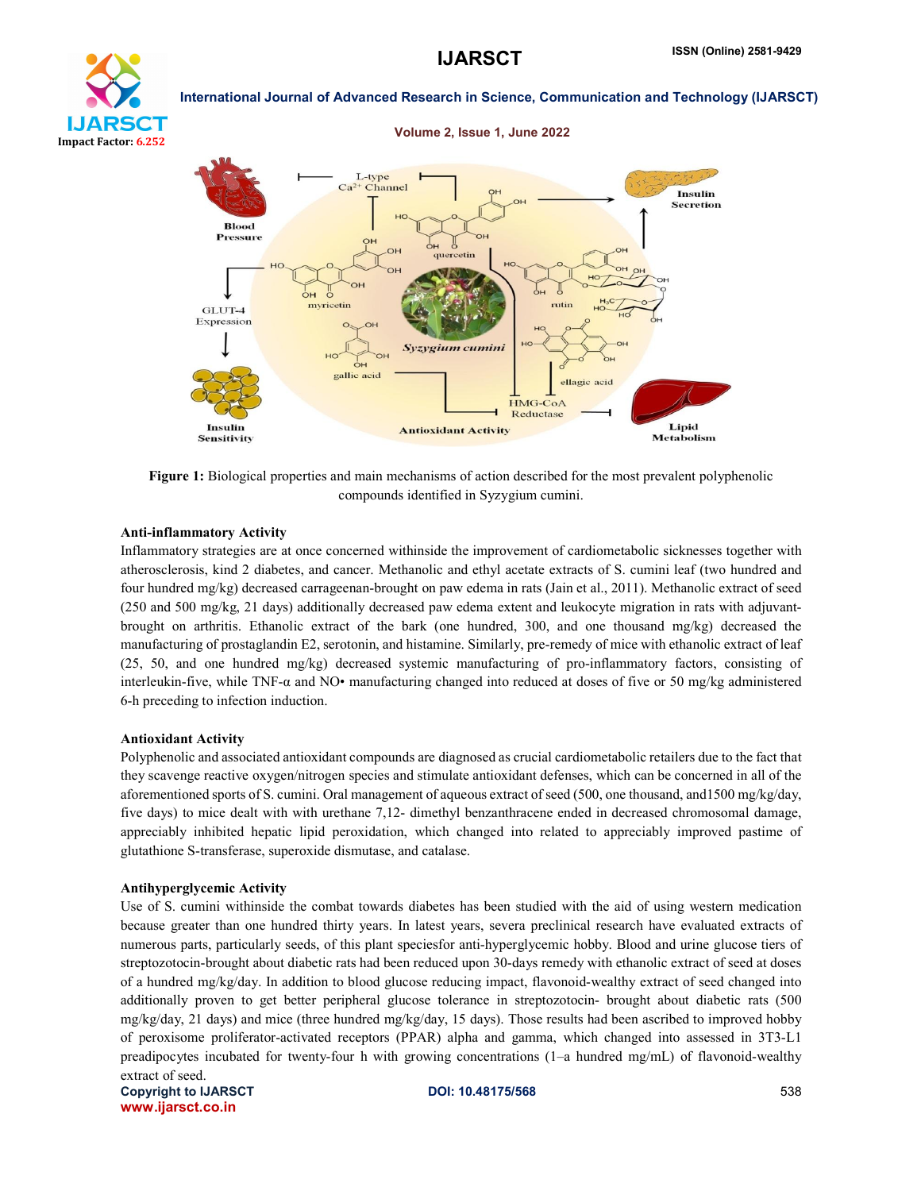





Figure 1: Biological properties and main mechanisms of action described for the most prevalent polyphenolic compounds identified in Syzygium cumini.

### Anti-inflammatory Activity

Inflammatory strategies are at once concerned withinside the improvement of cardiometabolic sicknesses together with atherosclerosis, kind 2 diabetes, and cancer. Methanolic and ethyl acetate extracts of S. cumini leaf (two hundred and four hundred mg/kg) decreased carrageenan-brought on paw edema in rats (Jain et al., 2011). Methanolic extract of seed (250 and 500 mg/kg, 21 days) additionally decreased paw edema extent and leukocyte migration in rats with adjuvantbrought on arthritis. Ethanolic extract of the bark (one hundred, 300, and one thousand mg/kg) decreased the manufacturing of prostaglandin E2, serotonin, and histamine. Similarly, pre-remedy of mice with ethanolic extract of leaf (25, 50, and one hundred mg/kg) decreased systemic manufacturing of pro-inflammatory factors, consisting of interleukin-five, while TNF-α and NO• manufacturing changed into reduced at doses of five or 50 mg/kg administered 6-h preceding to infection induction.

### Antioxidant Activity

Polyphenolic and associated antioxidant compounds are diagnosed as crucial cardiometabolic retailers due to the fact that they scavenge reactive oxygen/nitrogen species and stimulate antioxidant defenses, which can be concerned in all of the aforementioned sports of S. cumini. Oral management of aqueous extract of seed (500, one thousand, and1500 mg/kg/day, five days) to mice dealt with with urethane 7,12- dimethyl benzanthracene ended in decreased chromosomal damage, appreciably inhibited hepatic lipid peroxidation, which changed into related to appreciably improved pastime of glutathione S-transferase, superoxide dismutase, and catalase.

### Antihyperglycemic Activity

Use of S. cumini withinside the combat towards diabetes has been studied with the aid of using western medication because greater than one hundred thirty years. In latest years, severa preclinical research have evaluated extracts of numerous parts, particularly seeds, of this plant speciesfor anti-hyperglycemic hobby. Blood and urine glucose tiers of streptozotocin-brought about diabetic rats had been reduced upon 30-days remedy with ethanolic extract of seed at doses of a hundred mg/kg/day. In addition to blood glucose reducing impact, flavonoid-wealthy extract of seed changed into additionally proven to get better peripheral glucose tolerance in streptozotocin- brought about diabetic rats (500 mg/kg/day, 21 days) and mice (three hundred mg/kg/day, 15 days). Those results had been ascribed to improved hobby of peroxisome proliferator-activated receptors (PPAR) alpha and gamma, which changed into assessed in 3T3-L1 preadipocytes incubated for twenty-four h with growing concentrations (1–a hundred mg/mL) of flavonoid-wealthy extract of seed.

Copyright to IJARSCT **DOI: 10.48175/568** 538 www.ijarsct.co.in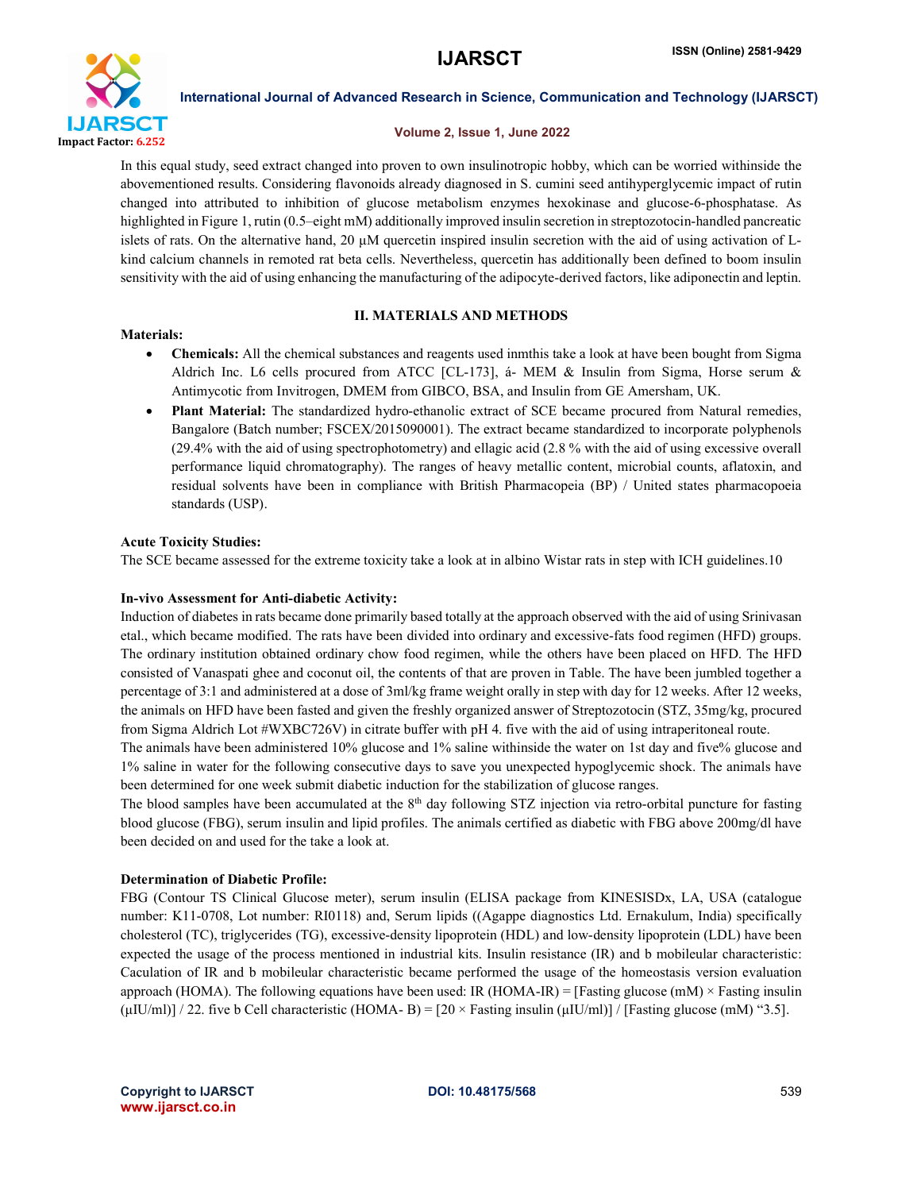

# Volume 2, Issue 1, June 2022

In this equal study, seed extract changed into proven to own insulinotropic hobby, which can be worried withinside the abovementioned results. Considering flavonoids already diagnosed in S. cumini seed antihyperglycemic impact of rutin changed into attributed to inhibition of glucose metabolism enzymes hexokinase and glucose-6-phosphatase. As highlighted in Figure 1, rutin (0.5–eight mM) additionally improved insulin secretion in streptozotocin-handled pancreatic islets of rats. On the alternative hand, 20 μM quercetin inspired insulin secretion with the aid of using activation of Lkind calcium channels in remoted rat beta cells. Nevertheless, quercetin has additionally been defined to boom insulin sensitivity with the aid of using enhancing the manufacturing of the adipocyte-derived factors, like adiponectin and leptin.

# Materials:

# II. MATERIALS AND METHODS

- Chemicals: All the chemical substances and reagents used inmthis take a look at have been bought from Sigma Aldrich Inc. L6 cells procured from ATCC [CL-173], á- MEM & Insulin from Sigma, Horse serum & Antimycotic from Invitrogen, DMEM from GIBCO, BSA, and Insulin from GE Amersham, UK.
- Plant Material: The standardized hydro-ethanolic extract of SCE became procured from Natural remedies, Bangalore (Batch number; FSCEX/2015090001). The extract became standardized to incorporate polyphenols (29.4% with the aid of using spectrophotometry) and ellagic acid (2.8 % with the aid of using excessive overall performance liquid chromatography). The ranges of heavy metallic content, microbial counts, aflatoxin, and residual solvents have been in compliance with British Pharmacopeia (BP) / United states pharmacopoeia standards (USP).

### Acute Toxicity Studies:

The SCE became assessed for the extreme toxicity take a look at in albino Wistar rats in step with ICH guidelines.10

# In-vivo Assessment for Anti-diabetic Activity:

Induction of diabetes in rats became done primarily based totally at the approach observed with the aid of using Srinivasan etal., which became modified. The rats have been divided into ordinary and excessive-fats food regimen (HFD) groups. The ordinary institution obtained ordinary chow food regimen, while the others have been placed on HFD. The HFD consisted of Vanaspati ghee and coconut oil, the contents of that are proven in Table. The have been jumbled together a percentage of 3:1 and administered at a dose of 3ml/kg frame weight orally in step with day for 12 weeks. After 12 weeks, the animals on HFD have been fasted and given the freshly organized answer of Streptozotocin (STZ, 35mg/kg, procured from Sigma Aldrich Lot #WXBC726V) in citrate buffer with pH 4. five with the aid of using intraperitoneal route.

The animals have been administered 10% glucose and 1% saline withinside the water on 1st day and five% glucose and 1% saline in water for the following consecutive days to save you unexpected hypoglycemic shock. The animals have been determined for one week submit diabetic induction for the stabilization of glucose ranges.

The blood samples have been accumulated at the  $8<sup>th</sup>$  day following STZ injection via retro-orbital puncture for fasting blood glucose (FBG), serum insulin and lipid profiles. The animals certified as diabetic with FBG above 200mg/dl have been decided on and used for the take a look at.

# Determination of Diabetic Profile:

FBG (Contour TS Clinical Glucose meter), serum insulin (ELISA package from KINESISDx, LA, USA (catalogue number: K11-0708, Lot number: RI0118) and, Serum lipids ((Agappe diagnostics Ltd. Ernakulum, India) specifically cholesterol (TC), triglycerides (TG), excessive-density lipoprotein (HDL) and low-density lipoprotein (LDL) have been expected the usage of the process mentioned in industrial kits. Insulin resistance (IR) and b mobileular characteristic: Caculation of IR and b mobileular characteristic became performed the usage of the homeostasis version evaluation approach (HOMA). The following equations have been used: IR (HOMA-IR) = [Fasting glucose (mM)  $\times$  Fasting insulin (μIU/ml)] / 22. five b Cell characteristic (HOMA- B) =  $[20 \times$  Fasting insulin (μIU/ml)] / [Fasting glucose (mM) "3.5].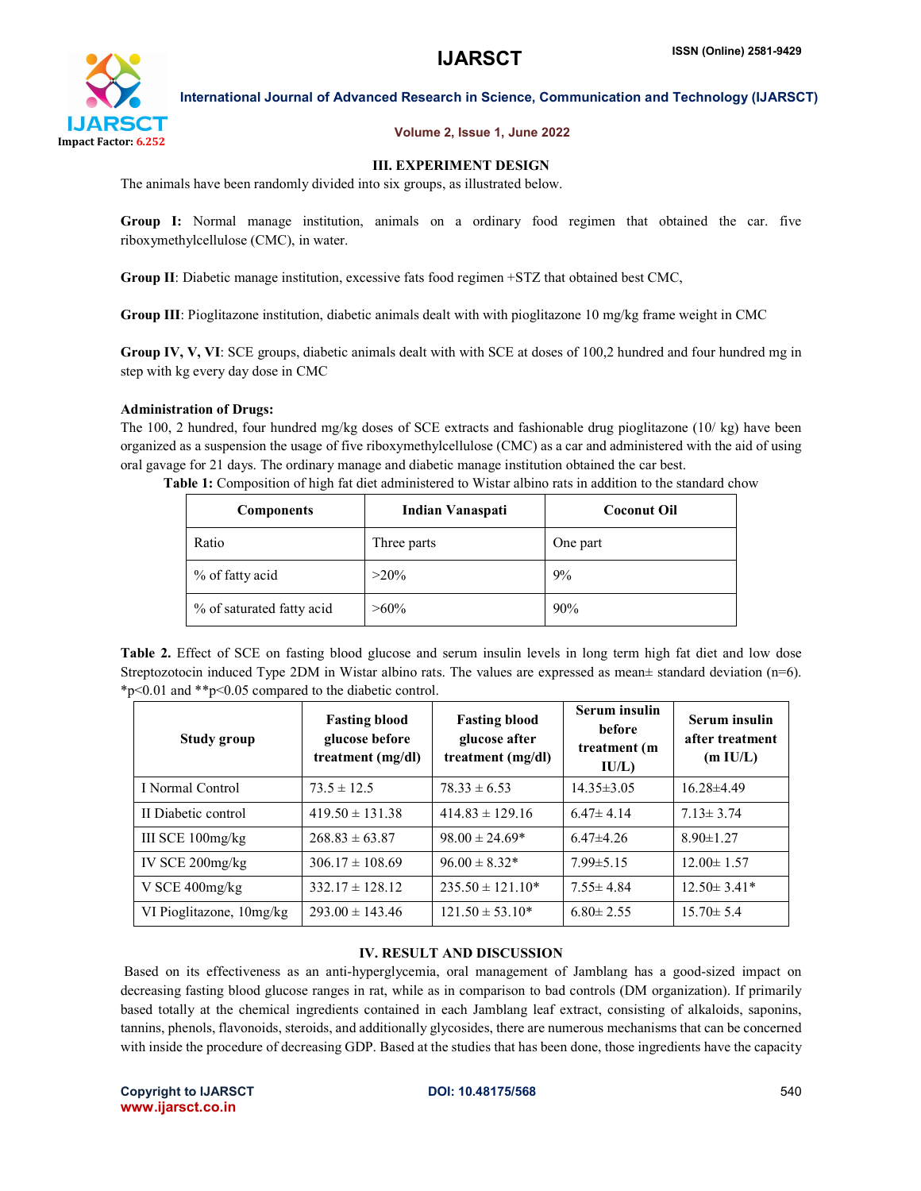

# Volume 2, Issue 1, June 2022

# III. EXPERIMENT DESIGN

The animals have been randomly divided into six groups, as illustrated below.

Group I: Normal manage institution, animals on a ordinary food regimen that obtained the car. five riboxymethylcellulose (CMC), in water.

Group II: Diabetic manage institution, excessive fats food regimen +STZ that obtained best CMC,

Group III: Pioglitazone institution, diabetic animals dealt with with pioglitazone 10 mg/kg frame weight in CMC

Group IV, V, VI: SCE groups, diabetic animals dealt with with SCE at doses of 100,2 hundred and four hundred mg in step with kg every day dose in CMC

# Administration of Drugs:

The 100, 2 hundred, four hundred mg/kg doses of SCE extracts and fashionable drug pioglitazone (10/ kg) have been organized as a suspension the usage of five riboxymethylcellulose (CMC) as a car and administered with the aid of using oral gavage for 21 days. The ordinary manage and diabetic manage institution obtained the car best.

| <b>Components</b>         | Indian Vanaspati | <b>Coconut Oil</b> |  |
|---------------------------|------------------|--------------------|--|
| Ratio                     | Three parts      | One part           |  |
| % of fatty acid           | $>20\%$          | 9%                 |  |
| % of saturated fatty acid | $>60\%$          | 90%                |  |

Table 1: Composition of high fat diet administered to Wistar albino rats in addition to the standard chow

Table 2. Effect of SCE on fasting blood glucose and serum insulin levels in long term high fat diet and low dose Streptozotocin induced Type 2DM in Wistar albino rats. The values are expressed as mean $\pm$  standard deviation (n=6). \*p<0.01 and \*\*p<0.05 compared to the diabetic control.

| Study group              | <b>Fasting blood</b><br>glucose before<br>treatment (mg/dl) | <b>Fasting blood</b><br>glucose after<br>treatment (mg/dl) | <b>Serum</b> insulin<br><b>before</b><br>treatment (m<br>IU/L) | Serum insulin<br>after treatment<br>(m I U/L) |
|--------------------------|-------------------------------------------------------------|------------------------------------------------------------|----------------------------------------------------------------|-----------------------------------------------|
| I Normal Control         | $73.5 \pm 12.5$                                             | $78.33 \pm 6.53$                                           | $14.35 \pm 3.05$                                               | $16.28{\pm}4.49$                              |
| II Diabetic control      | $419.50 \pm 131.38$                                         | $414.83 \pm 129.16$                                        | $6.47 \pm 4.14$                                                | $7.13 \pm 3.74$                               |
| III SCE $100$ mg/kg      | $268.83 \pm 63.87$                                          | $98.00 \pm 24.69*$                                         | $6.47\pm4.26$                                                  | $8.90 \pm 1.27$                               |
| IV SCE $200$ mg/kg       | $306.17 \pm 108.69$                                         | $96.00 \pm 8.32*$                                          | $7.99 \pm 5.15$                                                | $12.00 \pm 1.57$                              |
| V SCE 400mg/kg           | $332.17 \pm 128.12$                                         | $235.50 \pm 121.10*$                                       | $7.55 \pm 4.84$                                                | $12.50 \pm 3.41*$                             |
| VI Pioglitazone, 10mg/kg | $293.00 \pm 143.46$                                         | $121.50 \pm 53.10*$                                        | $6.80 \pm 2.55$                                                | $15.70 \pm 5.4$                               |

# IV. RESULT AND DISCUSSION

Based on its effectiveness as an anti-hyperglycemia, oral management of Jamblang has a good-sized impact on decreasing fasting blood glucose ranges in rat, while as in comparison to bad controls (DM organization). If primarily based totally at the chemical ingredients contained in each Jamblang leaf extract, consisting of alkaloids, saponins, tannins, phenols, flavonoids, steroids, and additionally glycosides, there are numerous mechanisms that can be concerned with inside the procedure of decreasing GDP. Based at the studies that has been done, those ingredients have the capacity